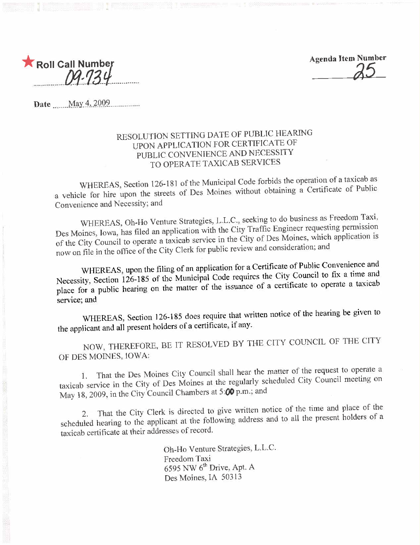

Agenda Item Number ~5

Date  $\text{May }4,2009$ 

### RESOLUTION SETTING DATE OF PUBLIC HEARING UPON APPLICATION FOR CERTIFICATE OF PUBLIC CONVENIENCE AND NECESSITY TO OPERATE TAXICAB SERVICES

WHEREAS, Section 126-181 of the Municipal Code forbids the operation of a taxicab as a vehicle for hire upon the streets of Des Moines without obtaining a Certificate of Public Convenience and Necessity; and

WHEREAS, Oh-Ho Venture Strategies, L.L.C., seeking to do business as Freedom Taxi, Des Moines, Iowa, has filed an application with the City Traffic Engineer requesting permission Des Moines, Iowa, has filed an application with the City Trame Engineer requestion of Des Moines which application is of the City Council to operate a taxicab service in the City of Des Monses, which application is now on file in the office of the City Clerk for public review and consideration, and

WHEREAS, upon the filing of an application for a Certificate of Public Convenience and<br>Necessity, Section 126-185 of the Municipal Code requires the City Council to fix a time and Necessity, Section 126-185 of the Municipal Code requires the City Council to operate a taxical place for a public hearing on the matter of the issuance of a certificate to operate a service; and

WHEREAS, Section 126-185 does require that written notice of the hearing be given to the applicant and all present holders of a certificate, if any.

NOW, THEREFORE, BE IT RESOLVED BY TIlE CITY COUNCIL OF THE CITY OF DES MOINES, IOWA:

1. That the Des Moines City Council shall hear the matter of the request to operate a taxicab service in the City of Des Moines at the regularly scheduled City Council meeting on May 18, 2009, in the City Council Chambers at 5:00 p.m.; and

2. That the City Clerk is directed to give written notice of the time and place of the scheduled hearing to the applicant at the following address and to all the present holders of a taxicab certificate at their addresses of record.

> Oh-Ho Venture Strategies, L.L.c. Freedom Taxi  $6595$  NW  $6<sup>th</sup>$  Drive, Apt. A Des Moines, IA 50313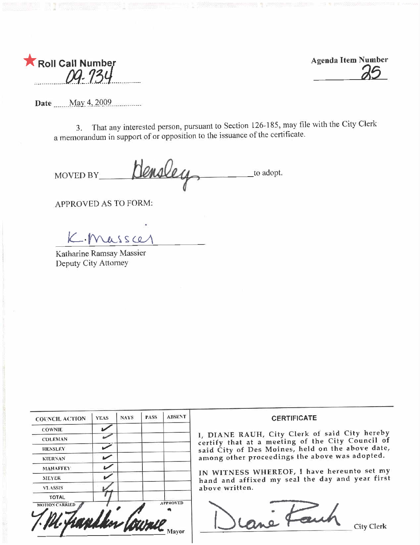

**Agenda Item Number** 

Date May 4, 2009

3. That any interested person, pursuant to Section 126-185, may file with the City Clerk a memorandum in support of or opposition to the issuance of the certificate.

Hensley to adopt. **MOVED BY** 

APPROVED AS TO FORM:

K. Massa

Katharine Ramsay Massier Deputy City Attorney

| <b>COUNCIL ACTION</b> | <b>YEAS</b> | <b>NAYS</b> | <b>PASS</b> | <b>ABSENT</b>   |
|-----------------------|-------------|-------------|-------------|-----------------|
| <b>COWNIE</b>         |             |             |             |                 |
| <b>COLEMAN</b>        |             |             |             |                 |
| <b>HENSLEY</b>        |             |             |             |                 |
| <b>KIERNAN</b>        |             |             |             |                 |
| <b>МАНАГГЕУ</b>       |             |             |             |                 |
| <b>MEYER</b>          |             |             |             |                 |
| <b>VLASSIS</b>        |             |             |             |                 |
| <b>TOTAL</b>          |             |             |             |                 |
| <b>MOTION CARRIED</b> |             |             | 219         | <b>APPROVED</b> |

### **CERTIFICATE**

1, DIANE RAUH, City Clerk of said City hereby certify that at a meeting of the City Council of said City of Des Moines, held on the above date, among other proceedings the above was adopted.

IN WITNESS WHEREOF, I have hereunto set my hand and affixed my seal the day and year first above written.



**City Clerk**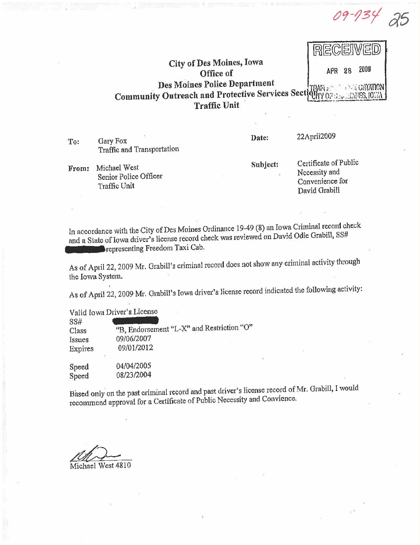09-134

### 問目 City of Des Moines, Iowa 2009 **APR**  $28$ Office of Des Moines Police Department **Community Outreach and Protective Services Sect** 49.KY 02 **Traffic Unit**

Gary Fox To: Traffic and Transportation Date:

22April2009

From: Michael West Senior Police Officer Traffic Unit

Subject:

Certificate of Public Necessity and Convenience for David Grabill

In accordance with the City of Des Moines Ordinance 19-49 (8) an Iowa Criminal record check and a State of Iowa driver's license record check was reviewed on David Odie Grabill, SS# representing Freedom Taxi Cab.

As of April 22, 2009 Mr. Grabill's criminal record does not show any criminal activity through the Iowa System.

As of April 22, 2009 Mr. Grabill's Iowa driver's license record indicated the following activity:

Valid Iowa Driver's License

SS# "B, Endorsement "L-X" and Restriction "O" Class 09/06/2007 Issues 09/01/2012 Expires

04/04/2005 Speed 08/23/2004 Speed

Based only on the past criminal record and past driver's license record of Mr. Grabill, I would recommend approval for a Certificate of Public Necessity and Convience.

Michael West 4810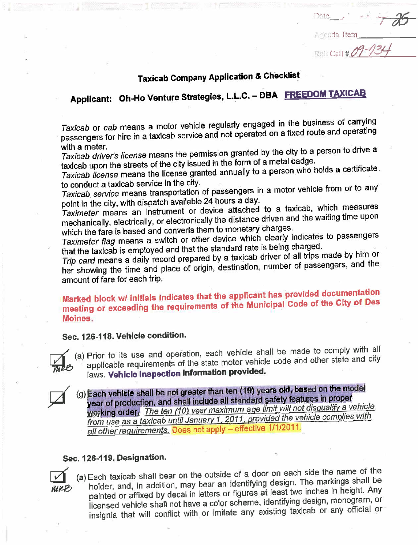## Taxicab Company Application & Checklist

 $Pate$  ,  $\frac{1}{100}$ 

Arenda Item

 $\mathbb{R}$ oll Call # $\mathscr{N}$ 

# Applicant: Oh-Ho Venture Strategies, L.L.C. - DBA FREEDOM TAXICAB

Taxicab or cab means a motor vehicle regularly engaged in the business of carrying . passengers for hire in a taxicab service and not operated on a fixed route and operating with a meter.

Taxicab driver's license means the permission granted by the city to a person to taxicab upon the streets of the city issued in the form of a metal badge.

Taxicab license means the license granted annually to a person who holds a certificate. to conduct a taxicab service in the city.

Taxicab, service means transportation of passengers in a motor vehicle from or to any' point in the city, with dispatch available 24 hours a day.

Taximeter means an instrument or device attached to a taxicab, which measures mechanically, electrically, or electronically the distance driven and the waiting time upon which the fare is based and converts them to monetary charges.

Taximeter flag means a switch or other device which clearly indicates to passengers that the taxicab is employed and that the standard rate is being charged.

Trip card means a daily record prepared by a taxicab driver of all trips made by him or her showing the time and piace of origin, destination, number of passengers, and the amount of fare for each trip.

### Marked block w/ initials indicates that the applicant has provided documentation meeting or exceeding the requirements of the Municipal Code of the City of Des Moines.

### Sec. 126-118. Vehicle condition.



 $\Box$  (a) Prior to its use and operation, each mater vehicle code and other state and city  $\frac{1}{2}$  applicable requirements of the state molecular vehicle code and  $\frac{1}{2}$ laws. Vehicle Inspection information provided.

(g) Each vehicle shall be not greater man ten (10) years old, based on the measurement of production, and shall include all standard safety features in proper<br>working order. The ten (10) year maximum age limit will not di year of production, and shall include all signifially painty. The property of the 1st and 1st and 1st and 1st a **WORKING ORDER** The ten (10) year maximum ago limit will not discussed the vehicle complies with from use as a taxicab until January 1, 2011, provided the vehicle complication all other requirements. Does not apply - effective 1/1/2011.

### Sec. 126-119. Designation.

Sec. 126-119. Designation.<br>
(a) Each taxicab shall bear on the outside of a door on each side the name of the<br>
holder; and, in addition, may bear an identifying design. The markings shall be<br>
nointed or affixed by decal i painted or affixed by decal in letters or figures at least two inches in height. Any licensed vehicle shall not have a color scheme, identifying design, monogram, or insignia that will conflict with or imitate any existing taxicab or any official or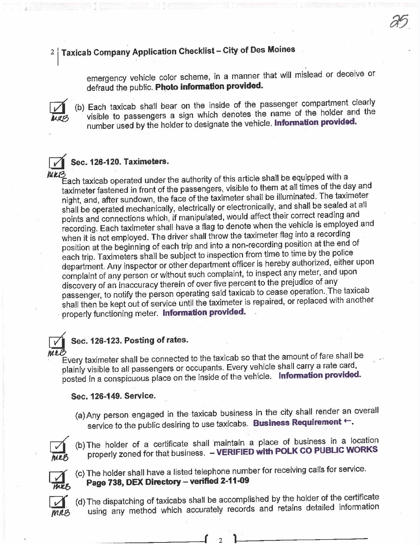## $2\mid$  Taxicab Company Application Checklist - City of Des Moines

emergency vehicle color scheme, in a manner that will mislead or deceive or defraud the public. Photo information provided.

a5.



(b) Each taxicab shall bear on the inside of the passenger compartment clearly visible to passengers a sign which denotes the name of the holder and the LATE visible to passengers a sign which denotes the name of the name of the name of the name of the holder and the holder and the holder and the holder and the holder and the holder and the name of the holder and the holde number used by the holder to designate the vehicle. Information provided.



were the the constant of the authority of this article shall be equipped with a<br>Each taxicab operated under the authority of this article shall be equipped with a taxImeter fastened in front of the passengers, visible to them at all times of the day and night, and, after sundown, the face of the taximeter shall be illuminated. The taximeter shall be operated mechanically, electrically or electronically, and shall be sealed at all points and connections which, if manipulated, would affect their correct reading and recording. Each taximeter shall have a flag to denote when the vehicle is employed and when it is not employed. The driver shall throw the taximeter flag into a recording position at the beginning of each trip and into a non-recording position at the end of each trip. Taximeters shall be subject to inspection from time to time by the police department. Any inspector or other department officer is hereby authorized, either upon complaint of any person or without such complaint, to inspect any meter, and upon discovery of an inaccuracy therein of over five percént to the prejudice of any passenger, to notify the person operating said taxicab to cease operation. The taxicab shall then be kept out of service until the taximeter is repaired, or replaced with another properly functioning meter. Information provided.

### Sec. 126-123. Posting of rates.

Every taximeter shall be connected to the taxIcab so that the amount of fare shall be plainly visible to all passengers or occupants. Every vehicle shall carry a rate card, posted in a conspicuous place on the inside of the vehicle. Information provided.

### Sec. 126-149. Service.

(a) Any person engaged in the taxicab business in the city shall render an overall service to the public desiring to use taxicabs. Business Requirement  $\leftarrow$ .



(b) The holder of a certificate shall maintain a place of business in a location properly zoned for that business. - VERIFIED with POLK CO PUBLIC WORKS



 $\sum_{n=1}$ 

(c) The holder shall have a listed telephone number for receiving calls for service. Page 738, DEX Directory - verified 2-11-09

mnB (d) The dispatching of taxicabs shall be accomplished by the holder of the certificate using any method which accurately records and retains detailed information

r 2 1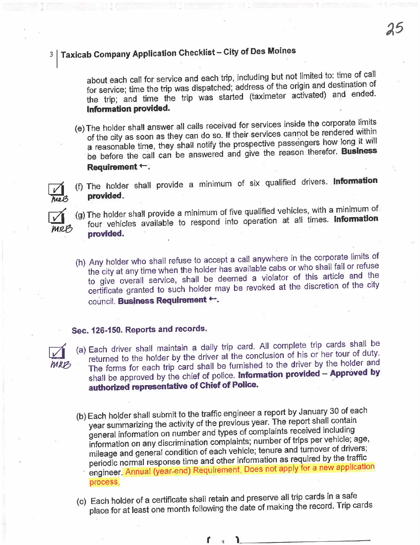## 3 Taxicab Company Application Checklist - City of Des Moines

about each call for service and each trip, including but not limited to: time of call for service; time the trip was dispatched; address of the origin and destination of the trip; and time the trip was started (taximeter activated) and ended. Information provided.

- (e) The holder shall answer all calls received for services in the condered within of the city as soon as they can go so. If their services cannot be rendered in a reasonable time, they shall notify the prospective passengers how long it will be before the call can be answered and give the reason therefor. Business Requirement  $\leftarrow$ ;
- (f) The holder shall provide a minimum of six qualified drivers. Information



- **head provided.**<br> $\sqrt{\phantom{a}}$  (g) The holder shall provide a minimum of five qualified vehicles, with a minimum of four vehicles available to respond into operation at all times. Information which is a vehicle to respond into operation at all times. In the contract operation at all times. In the contract of the contract of the contract of the contract of the contract of the contract of the contract of the cont
	- (h) Any holder who shall refuse to accept a call anywhere in the shall fail or refuse the city at any time when the holder has available cabs or who shall fail or refuseto give overall service, shall be deemed a violator of this article and the certificate granted to such holder may be revoked at the discretion of the city council. Business Requirement +.

### Sec. 126-150. Reports and records.



(a) Each driver shall maintain a daily trip card. All complete trip cards shall be returned to the holder by the driver at the conclusion of his or her tour of duty. The forms for each trip card shall be furnished to the driver by the holder and shall be approved by the chief of police. Information provided - Approved by authorized representative of Chief of Police.

- (b) Each holder shall submit to the traffic engineer a report by January 30 of each year summarizing the activity of the previous year. The report shall contain general information on number and types of complaints received including information on any discrimination complaints; number of trips per vehicle; age, mileage and general condition of each vehicle; tenure and turnover of drivers; periodic normal response time and other information as required by the traffic engineer. Annual (year-end) Requirement. Does not apply for a new application process.
- (c) Each holder of a certificate shall retain and preserve all trip car as the card. Trip c place for at least one month following the date of making the record. Trip cards

 $r \rightarrow 1$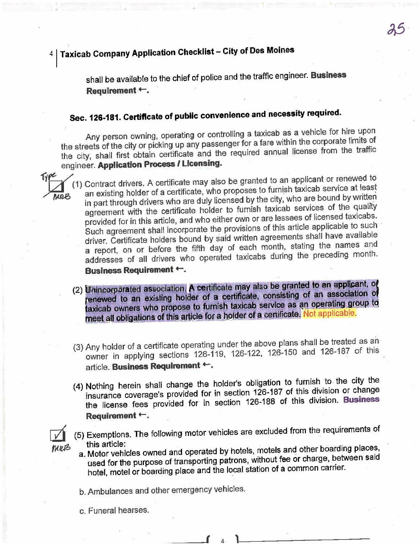## 4 | Taxicab Company Application Checklist - City of Des Moines

shall be available to the chief of police and the traffic engineer. Business Requirement ←.

## Sec. 126-181. Certificate of public convenience and necessity required.

Any person owning, operating or controlling a taxicab as a vehicle for hire upon the streets of the city or picking up any passenger for a fare within the corporate limits of the city, shall first obtain certificate and the required annual license from the traffic engineer. Application Process / Licensing.

(1) Contract drivers. A certificate may also be granted to an applicant or renewed to an existing holder of a certificate, who proposes to furnish taxicab service at least in part through drivers who are duly licensed by the city, who are bound by written agreement with the certificate holder to furnish taxicab services of the quality provided for in this article, and who either own or are lessees of licensed taxicabs. Such agreement shall incorporate the provisions of this article applicable to such driver. Certificate holders bound by said written agreements shall have available a report, on or before the fifth day of each month, stating the names and addresses of all drivers who operated taxicabs during the preceding month. **Business Requirement +.** 

- (2) Unincorporated association. A certificate may also be granted to an applicant, of renewed to an existing holder of a certificate, consisting of an association of taxicab owners who propose to furnish taxicab service as an operating group to meet all obligations of this article for a holder of a certificate. Not applicable.
- (3) Any holder of a certificate operating under the above plans shall be treated as an owner in applying sections 126-119, 126-122, 126-150 and 126-187 of this article. Business Requirement +.
- (4) Nothing herein shall change the holder's obligation to furnish to the city the insurance coverage's provided for in section 126-187 of this division or change the license fees provided for in section 126-188 of this division. Business Requirement ←.
- (5) Exemptions. The following motor vehicles are excluded from the requirements of this article:
	- a. Motor vehicles owned and operated by hotels, motels and other boarding places, used for the purpose of transporting patrons, without fee or charge, between said hotel, motel or boarding place and the local station of a common carrier.

b. Ambulances and other emergency vehicles.

c. Funeral hearses.

MRB